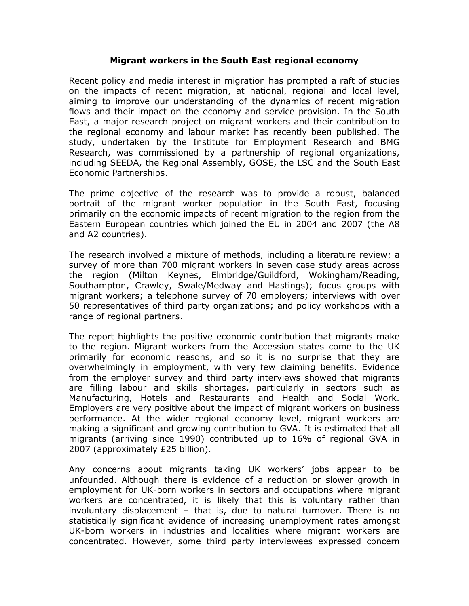## Migrant workers in the South East regional economy

Recent policy and media interest in migration has prompted a raft of studies on the impacts of recent migration, at national, regional and local level, aiming to improve our understanding of the dynamics of recent migration flows and their impact on the economy and service provision. In the South East, a major research project on migrant workers and their contribution to the regional economy and labour market has recently been published. The study, undertaken by the Institute for Employment Research and BMG Research, was commissioned by a partnership of regional organizations, including SEEDA, the Regional Assembly, GOSE, the LSC and the South East Economic Partnerships.

The prime objective of the research was to provide a robust, balanced portrait of the migrant worker population in the South East, focusing primarily on the economic impacts of recent migration to the region from the Eastern European countries which joined the EU in 2004 and 2007 (the A8 and A2 countries).

The research involved a mixture of methods, including a literature review; a survey of more than 700 migrant workers in seven case study areas across the region (Milton Keynes, Elmbridge/Guildford, Wokingham/Reading, Southampton, Crawley, Swale/Medway and Hastings); focus groups with migrant workers; a telephone survey of 70 employers; interviews with over 50 representatives of third party organizations; and policy workshops with a range of regional partners.

The report highlights the positive economic contribution that migrants make to the region. Migrant workers from the Accession states come to the UK primarily for economic reasons, and so it is no surprise that they are overwhelmingly in employment, with very few claiming benefits. Evidence from the employer survey and third party interviews showed that migrants are filling labour and skills shortages, particularly in sectors such as Manufacturing, Hotels and Restaurants and Health and Social Work. Employers are very positive about the impact of migrant workers on business performance. At the wider regional economy level, migrant workers are making a significant and growing contribution to GVA. It is estimated that all migrants (arriving since 1990) contributed up to 16% of regional GVA in 2007 (approximately £25 billion).

Any concerns about migrants taking UK workers' jobs appear to be unfounded. Although there is evidence of a reduction or slower growth in employment for UK-born workers in sectors and occupations where migrant workers are concentrated, it is likely that this is voluntary rather than involuntary displacement – that is, due to natural turnover. There is no statistically significant evidence of increasing unemployment rates amongst UK-born workers in industries and localities where migrant workers are concentrated. However, some third party interviewees expressed concern